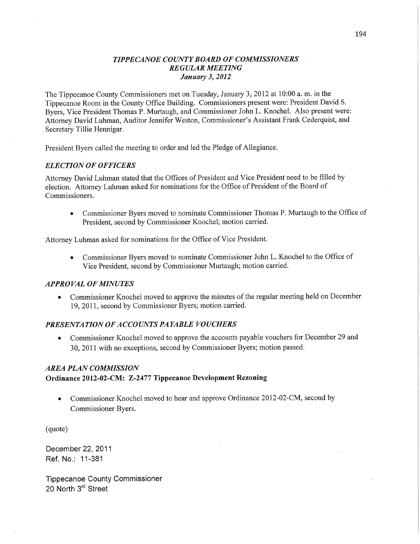## *TIPPECANOE COUNTY BOARD* OF *COMMISSIONERS REGULAR MEETING January* 3, *2012*

The Tippecanoe County Commissioners met on Tuesday, January 3, 2012 at 10:00 a.m. in the Tippecanoe Room in the County Office Building. Commissioners present were: President **David** S. Byers, Vice President **Thomas** P. Murtaugh, and Commissioner John L. **Knochel.** Also present were: Attorney David **Luhman,** Auditor Jennifer Weston, Commissioner's Assistant **Frank** Cederquist, and Secretary Tillie Hennigar.

President Byers called the meeting to order and led the Pledge of Allegiance.

### *ELECTION* OF *OFFICERS*

Attorney David Luhman stated that the Offices of President and Vice President need to be filled by election. Attorney Luhman asked for nominations for the Office of President of the Board of Commissioners. *'* 

**<sup>0</sup>**Commissioner Byers **moved** to nominate Commissioner Thomas P. **Murtaugh** to the **Office** of President, second by Commissioner Knochel; motion carried.

Attorney **Luhman** asked for nominations for the Office of Vice President.

**<sup>0</sup>**Commissioner Byers moved to nominate Commissioner John L. Knochel to the Office of Vice President, second by Commissioner Murtaugh; motion carried.

### *APPROVAL* OF *MINUTES*

**0** Commissioner Knochel moved to approve the minutes of the regular meeting **held** on December 19, 2011, second by Commissioner Byers; motion carried.

### *PRESENTATION* OF *ACCOUNTS PAYABLE VOUCHERS*

• Commissioner Knochel moved to approve the accounts payable vouchers for December 29 and 30, **2011** with no exceptions, second by Commissioner Byers; **motion** passed.

### *AREA PLAN COMMISSION*

### **Ordinance 2012-02-CM: Z-2477 Tippecanoe Development Rezoning**

**0** Commissioner Knochel moved to hear and approve Ordinance 2012-02-CM, second by Commissioner Byers.

(quote)

December 22, 2011 Ref. **No.:** 11-381

Tippecanoe County Commissioner 20 North 3rd Street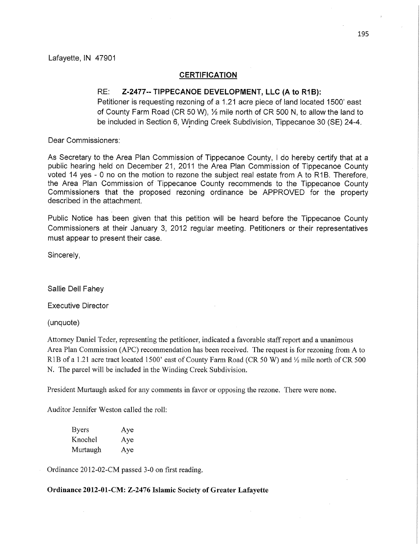### **CERTIFICATION**

## RE: **Z-2477-- TIPPECANOE DEVELOPMENT,** LLC (A to R1 B):

Petitioner is requesting rezoning of a 1.21 acre piece of land located 1500' east of County Farm Road (CR 50 W), **%** mile north of CR 500 N, to allow the land to be included in Section 6, Winding Creek Subdivision, Tippecanoe 30 (SE) 24-4.

Dear **Commissioners:** 

As Secretary to the Area Plan **Commission** of Tippecanoe County, *I* do hereby certify that at **<sup>a</sup>** public hearing held on December 21, 2011 the Area Plan Commission of **Tippecanoe** County voted 14 yes **-** 0 no on the motion to rezone the subject real estate **from** A to R1B. Therefore, the Area Plan **Commission of'Tippecanoe** County recommends to the Tippecanoe County Commissioners that the **proposed** rezoning ordinance be APPROVED for the property described in the attachment.

Public Notice has **'been** given **that this petition** will be heard before the Tippecanoe County Commissioners at **their** January 3, 2012 regular meeting. Petitioners or their representatives **must** appear to present their case.

Sincerely,

Sallie Dell **Fahey** 

Executive Director

(unquote)

Attorney Daniel Teder, representing the petitioner, indicated **a** favorable staff report and a unanimous Area Plan Commission **(APC)** recommendation has been **received.** The request is for rezoning fiom **A** to R1B of a 1.21 acre tract located 1500' east of County Farm Road (CR 50 W) and  $\frac{1}{2}$  mile north of CR 500 N. The parcel will be included in the **Winding** Creek Subdivision.

President Murtaugh asked for any **comments** in favor or opposing the rezone. There were none.

Auditor Jennifer Weston called the roll:

| <b>Byers</b> | Aye |
|--------------|-----|
| Knochel      | Aye |
| Murtaugh     | Aye |

, Ordinance 2012-02-CM passed 3-0 on first **reading.** 

**Ordinance 2012-01-CM: Z—2476 Islamic Society** of **Greater Lafayette**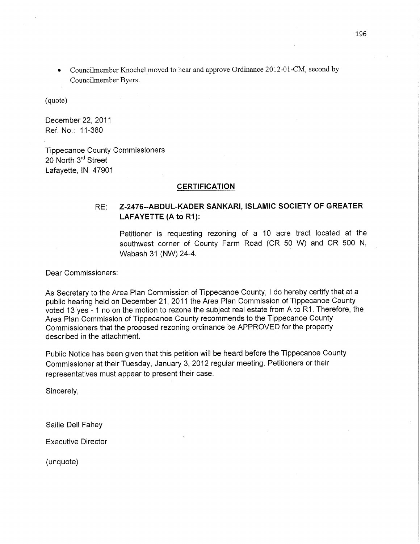• Councilmember Knochel moved to hear and approve Ordinance 2012-01-CM, second by Councilmember Byers.

(quote)

December 22, 2011 Ref. No.: 11-380

Tippecanoe County **Commissioners**  20 North 3<sup>rd</sup> Street Lafayette, IN 47901

### **CERTIFICATION**

# RE: **Z-2476--ABDUL-KADER** SANKARI, ISLAMIC **SOCIETY** OF GREATER LAFAYETTE (A to **R1):**

Petitioner is requesting rezoning of a 10 acre tract located at the **southwest** corner of County Farm Road (CR 50 W) and CR 500 N, Wabash 31 (NW) 24-4.

Dear **Commissioners:** 

As Secretary to the Area Plan **Commission** of Tippecanoe County, *I* do hereby certify **that** at <sup>a</sup> public hearing held on December 21, 2011 the Area Plan **Commission** of Tippecanoe County voted 13'yes **- 1** no on the motion to rezone the subject real estate from A to R1. **Therefore,** the Area Plan **Commission** of Tippecanoe County recommends to the Tippecanoe County Commissioners **that** the **proposed** rezoning ordinance be APPROVED for the property described in the attachment.

Public Notice has been given that **this** petition will be heard before the Tippecanoe County Commissioner at **their Tuesday, January** 3, 2012 regular meeting. Petitioners or their representatives must appear to present their case.

Sincerely,

Sallie Dell Fahey

Executive **Director** 

(unquote)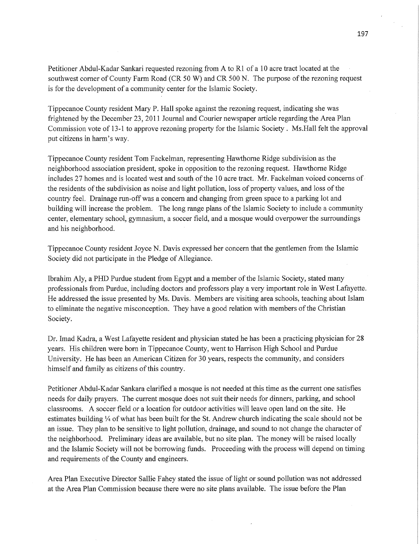Petitioner Abdul-Kadar Sankari requested rezoning from **A** to R1 of a 10 acre tract located at the southwest corner of County Farm Road (CR 50 W) and CR 500 N. The purpose of the rezoning reques<sup>t</sup> is for the development of a community center for the Islamic Society.

Tippecanoe County resident Mary P. Hall spoke against the rezoning request, indicating she was frightened by the December 23, 2011 Journal and Courier newspaper article regarding the Area Plan Commission vote of **13-1** to approve rezoning property for the Islamic Society *.* Ms.Ha11 felt the approval put citizens in harm's way.

Tippecanoe County resident Tom Fackelman, representing Hawthorne Ridge subdivision as the neighborhood association president, spoke in opposition to the rezoning request. Hawthorne Ridge includes 27 homes and is located west and south of the 10 acre tract. Mr. Fackelman voiced concerns of the residents of the subdivision as noise and light pollution, loss of property values, and loss of the country feel. Drainage run-off was a concern and changing from green space to a parking lot and building will increase the problem. The long range plans of the Islamic Society to include a community center, elementary school, gymnasium, a soccer field, and a mosque would overpower the surroundings and his neighborhood.

Tippecanoe County resident Joyce N. Davis expressed her concern that the gentlemen from the Islamic Society did not participate in the Pledge of Allegiance.

Ibrahim Aly, a PHD Purdue student from Egypt and a member of the Islamic Society, stated many professionals from Purdue, including doctors and professors play a very important role in West Lafayette. He addressed the issue presented by Ms. Davis. Members are Visiting area schools, teaching about Islam to eliminate the negative misconception. They have a good relation with members of the Christian Society.

Dr. Imad Kadra, a West Lafayette resident and physician stated he has been a practicing physician for 28 years. His children were born in Tippecanoe County, went to Harrison High School and Purdue University. He has been an American Citizen for 30 years, respects the community, and considers **himself** and family as citizens of this country.

Petitioner Abdul—Kadar Sankara clarified a mosque is not needed at this time as the current one satisfies needs for daily prayers. The current mosque doés not suit their needs for dinners, parking, and school classrooms. **A** soccer field or **a** location for outdoor activities will leave open land on the site. He estimates building 'A of what has been built for the St. Andrew church indicating the scale should not be an issue. They plan to be sensitive to light pollution, drainage, and sound to not change the character of the neighborhood. Preliminary ideas are available, but no site plan. The money will be raised locally and the Islamic Society will not be borrowing funds. Proceeding with the process will depend on timing and requirements of the County and **engineers.** 

Area Plan Executive Director Sallie Fahey stated the issue of light or sound pollution was not addressed at the Area Plan Commission because there were no site plans available. The issue before the Plan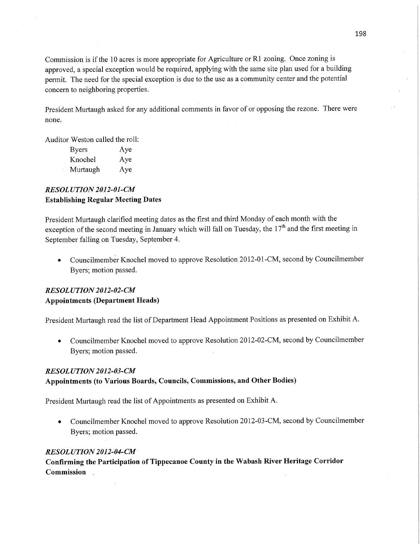Commission is if the 10 acres is more appropriate for Agriculture or R1 zoning. Once zoning is approved, a special exception would be required, applying with the same site plan used for a building permit. The need for the special exception is due to the use as a community center and the potential concern to neighboring properties.

President Murtaugh asked for any additional **comments** in favor of or opposing the rezone. There were none.

Auditor Weston called the roll:

| <b>Byers</b> | Aye |
|--------------|-----|
| Knochel      | Aye |
| Murtaugh     | Aye |

# *RESOL UTION 2012-01-CM*  **Establishing** Regular **Meeting Dates**

President Murtaugh clarified meeting dates as the **first** and third Monday of each **month** with the exception of the second meeting in January which will fall on Tuesday, the  $17<sup>th</sup>$  and the first meeting in September falling on Tuesday, September 4.

**<sup>0</sup>**Councilmembér Knochel inoved to approve Resolution 2012-01-CM, **second** by Councilmember Byers; motion passed.

# *RESOLUTION 2012-02-CM* **Appointments (Department Heads)**

**President** Murtaugh read the list of Department Head Appointment Positions as presented on Exhibit A.

• Councilmember Knochel moved to approve Resolution 2012-02-CM, second by Councilmember Byers; motion passed.

## *RESOLUTION 2012-03-CM*

## Appointments (to **Various Boards, Councils,** Commissions, and **Other** Bodies)

President Murtaugh read the list of Appointments as presented on Exhibit A.

• Councilmember Knochel moved to approve Resolution 2012-03-CM, second by Councilmember Byers; motion passed.

## *RESOL UTION 2012-04-CM '*

**Confirming** the **Participation** of **Tippecanoe County** in the **Wabash River Heritage Corridor Commission**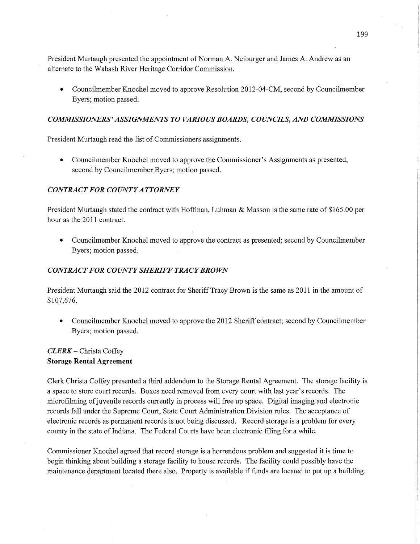President Murtaugh presented the appointment of Norman A. Neiburger and James A. Andrew as an alternate to the Wabash River Heritage Corridor Commission.

**0** Councilmember Knochel moved to approve Resolution 2012-04-CM, second by Councilmember Byers; motion passed.

## *COMMISSIONERS ' ASSIGNMENTS* T0 *VARIOUS BOARDS, COUNCILS,* AND *COMMISSIONS*

President Murtaugh read the list of Commissioners assignments.

**0** Councilmember Knochel moved to approve the Commissioner's Assignments as presented, second by Councilmember Byers; motion passed.

### *CONTRACT* FOR *COUNTYATTORNEY*

President Murtaugh stated the contract with Hoffman, Luhman & Masson is the same rate of \$165.00 per hour as the 2011 contract.

**0** Councilmember Knochel moved to approve the contract as presented; second by Councilmember Byers; motion passed.

### *CONTRACT* FOR *COUNTYSHERIFF TRACYBROWN*

President Murtaugh said the 2012 contract for Sheriff Tracy Brown is the same as 2011 in the amount of \$107,676.

• Councilmember Knochel moved to approve the 2012 Sheriff contract; second by Councilmember Byers; motion passed.

## *CLERK —* Christa Coffey **Storage Rental Agreement**

Clerk Christa Coffey presented a third addendum to the Storage Rental Agreement. The storage facility is a space to store court records. Boxes need removed from every court with last year's records. The microfilming of juvenile records currently in process will free up space. Digital imaging and electronic records fall under the Supreme Court, State Court Administration Division rules. The acceptance of electronic records as permanent records is not being discussed. Record storage is a problem for every county in the state of Indiana. The Federal Courts have been electronic filing for **a** while.

Commissioner Knochel agreed that record storage is a horrendous problem and suggested it is time to begin thinking about building a storage facility to house records. The facility could possibly have the maintenance department located there also. Property is available if funds are located to put up a building.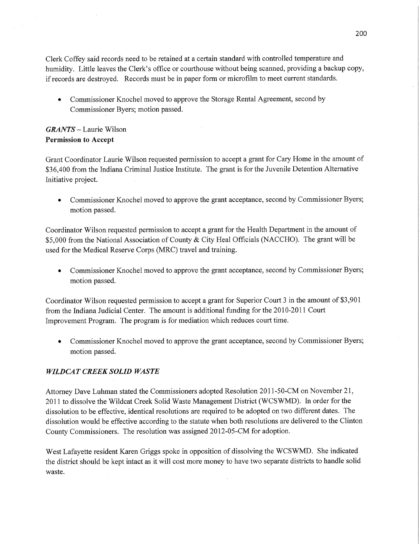Clerk Coffey said records need to be retained at a certain standard with controlled temperature and humidity. Little leaves the Clerk's office or courthouse without being scanned, providing a backup copy, if records are destroyed. Records must be in paper form or microfilm to meet current standards.

**0** Commissioner Knochel moved to approve the Storage Rental Agreement, second by Commissioner Byers; motion passed.

# *GRANTS* **—** Laurie Wilson **Permission** to **Accept**

Grant Coordinator Laurie Wilson requested permission to accept a grant for Cary Home in the amount of \$36,400 from the Indiana Criminal Justice Institute. The grant is for the Juvenile Detention Alternative Initiative project.

**0** Commissioner Knochel moved to approve the grant acceptance, second by Commissioner Byers; motion passed.

Coordinator Wilson requested permission to accept a grant for the Health Department in the amount of \$5,000 from the National Association of County & City Heal Officials (NACCHO). The grant will be used for the Medical Reserve Corps (MRC) **travel** and training.

**0** Commissioner Knochel moved to approve the grant acceptance, second by Commissioner Byers; motion passed.

**Coordinator** Wilson requested permission to accept a grant for Superior **Court** 3 in the amount of \$3,901 from the Indiana Judicial Center. The amount is additional funding for the 2010-2011 Court Improvement Program. The program is for mediation which reduces court time.

**0** Commissioner Knochel moved to approve the grant acceptance, second by Commissioner Byers; **motion passed.** 

# *WILDCIAT CREEK SOLID WASTE*

Attorney Dave Luhman stated the Commissioners adopted Resolution 2011-50-CM on November 21, 2011 to dissolve the Wildcat Creek Solid Waste Management District (WCSWMD). In order for the dissolution to be effective, identical resolutions are required to be adopted on two different dates. The dissolution would be effective according to the statute when both resolutions are delivered to the Clinton County Commissioners. The resolution was assigned 2012-OS-CM for adoption.

West Lafayette resident Karen Griggs spoke in opposition of dissolving the **WCSWMD.** She indicated the district should be kept intact as it will **cost more** money to have two separate districts to handle solid waste.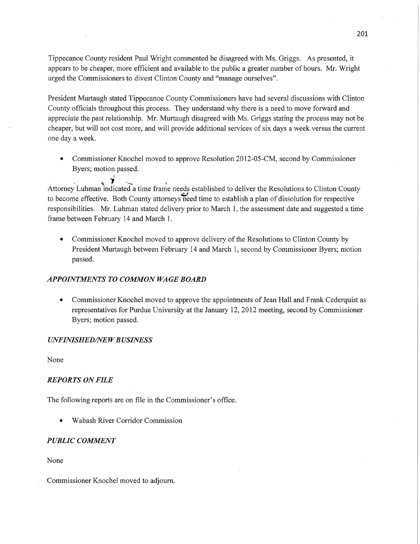Tippecanoe County resident Paul Wright commented he disagreed with Ms. Griggs. AS presented, it appears to be cheaper, more efficient and available to the public a greater number of hours. Mr. Wright urged the Commissioners to divest Clinton County and "manage ourselves".

President Murtaugh stated Tippecanoe County Commissioners have had several discussions with Clinton County officials throughout this process. They understand why there is **a** need to move forward and appreciate the pas<sup>t</sup>relationship. Mr. Murtaugh disagreed with Ms. Griggs stating the process may not be cheaper, but will not cost more, and will provide additional services of six days a week versus the current one day a week.

• Commissioner Knochel moved to approve Resolution 2012-05-CM, second by Commissioner Byers; motion passed.

**¢** '1' ..... Attorney **Luhman** indicated **a** time frame needs established to deliver the Resolutions to Clinton County to become effective. Both County attorneys need time to establish a plan of dissolution for respective responsibilities. Mr. Luhman stated delivery prior to March 1, the assessment date and suggested a time frame between February 14 and March 1.

**0** Commissioner Knochel moved to approve delivery of the Resolutions to Clinton County by President Murtaugh between February 14 and March 1, second by Commissioner Byers; motion passed.

## *APPOINTMENTS* T0 *COMMON* WA GE *BOARD*

**0** Commissioner Knochel moved to approve the appointments of Jean Hall and Frank Cederquist as representatives for Purdue University at the January 12, 2012 meeting, second by Commissioner Byers; motion passed.

### *UNFINISHED/NE W B USINESS*

None

### *REPORTS* ON *FILE*

The following reports are on file in the Commissioner's **office.** 

**0** Wabash River Corridor Commission

### *PUBLIC COMMENT*

None

Commissioner Knochel moved to adjourn.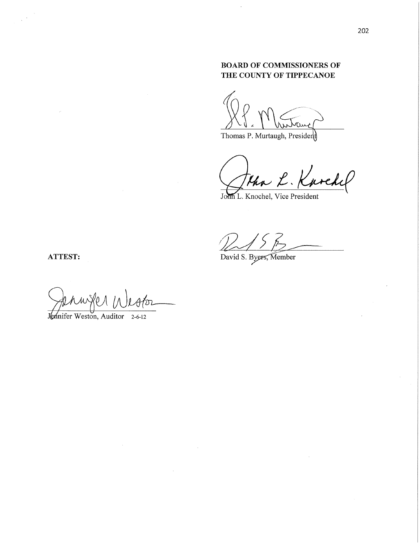# **BOARD OF COMMISSIONERS OF** THE COUNTY OF TIPPECANOE

Thomas P. Murtaugh, President

than L. Kurchel

John L. Knochel, Vice President

David S. Byers, Member

ATTEST:

tenwfer in  $\mathcal{U}$ 

Jennifer Weston, Auditor 2-6-12